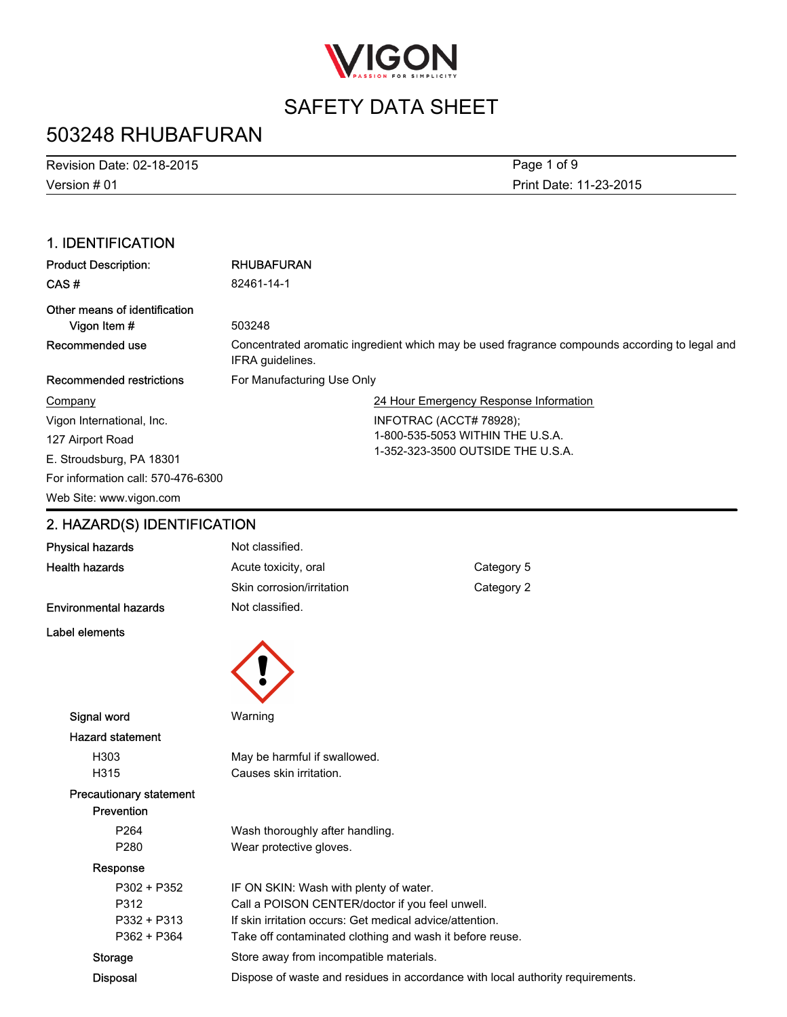

## 503248 RHUBAFURAN

Version # 01 Revision Date: 02-18-2015 Print Date: 11-23-2015 Page 1 of 9

### 1. IDENTIFICATION

| <b>Product Description:</b>                   | <b>RHUBAFURAN</b>                                                                                                 |  |
|-----------------------------------------------|-------------------------------------------------------------------------------------------------------------------|--|
| CAS#                                          | 82461-14-1                                                                                                        |  |
| Other means of identification<br>Vigon Item # | 503248                                                                                                            |  |
| Recommended use                               | Concentrated aromatic ingredient which may be used fragrance compounds according to legal and<br>IFRA quidelines. |  |
| Recommended restrictions                      | For Manufacturing Use Only                                                                                        |  |
| Company                                       | 24 Hour Emergency Response Information                                                                            |  |
| Vigon International, Inc.                     | INFOTRAC (ACCT# 78928);                                                                                           |  |
| 127 Airport Road                              | 1-800-535-5053 WITHIN THE U.S.A.                                                                                  |  |
| E. Stroudsburg, PA 18301                      | 1-352-323-3500 OUTSIDE THE U.S.A.                                                                                 |  |
| For information call: 570-476-6300            |                                                                                                                   |  |
| Web Site: www.vigon.com                       |                                                                                                                   |  |

### 2. HAZARD(S) IDENTIFICATION

| <b>Physical hazards</b>        | Not classified.                                          |                                                                                |
|--------------------------------|----------------------------------------------------------|--------------------------------------------------------------------------------|
| <b>Health hazards</b>          | Acute toxicity, oral                                     | Category 5                                                                     |
|                                | Skin corrosion/irritation                                | Category 2                                                                     |
| <b>Environmental hazards</b>   | Not classified.                                          |                                                                                |
| Label elements                 |                                                          |                                                                                |
|                                |                                                          |                                                                                |
|                                |                                                          |                                                                                |
|                                |                                                          |                                                                                |
| Signal word                    | Warning                                                  |                                                                                |
| <b>Hazard statement</b>        |                                                          |                                                                                |
| H303                           | May be harmful if swallowed.                             |                                                                                |
| H315                           | Causes skin irritation.                                  |                                                                                |
| <b>Precautionary statement</b> |                                                          |                                                                                |
| Prevention                     |                                                          |                                                                                |
| P264                           | Wash thoroughly after handling.                          |                                                                                |
| P280                           | Wear protective gloves.                                  |                                                                                |
| Response                       |                                                          |                                                                                |
| P302 + P352                    | IF ON SKIN: Wash with plenty of water.                   |                                                                                |
| P312                           | Call a POISON CENTER/doctor if you feel unwell.          |                                                                                |
| P332 + P313                    | If skin irritation occurs: Get medical advice/attention. |                                                                                |
| P362 + P364                    | Take off contaminated clothing and wash it before reuse. |                                                                                |
| <b>Storage</b>                 | Store away from incompatible materials.                  |                                                                                |
| <b>Disposal</b>                |                                                          | Dispose of waste and residues in accordance with local authority requirements. |
|                                |                                                          |                                                                                |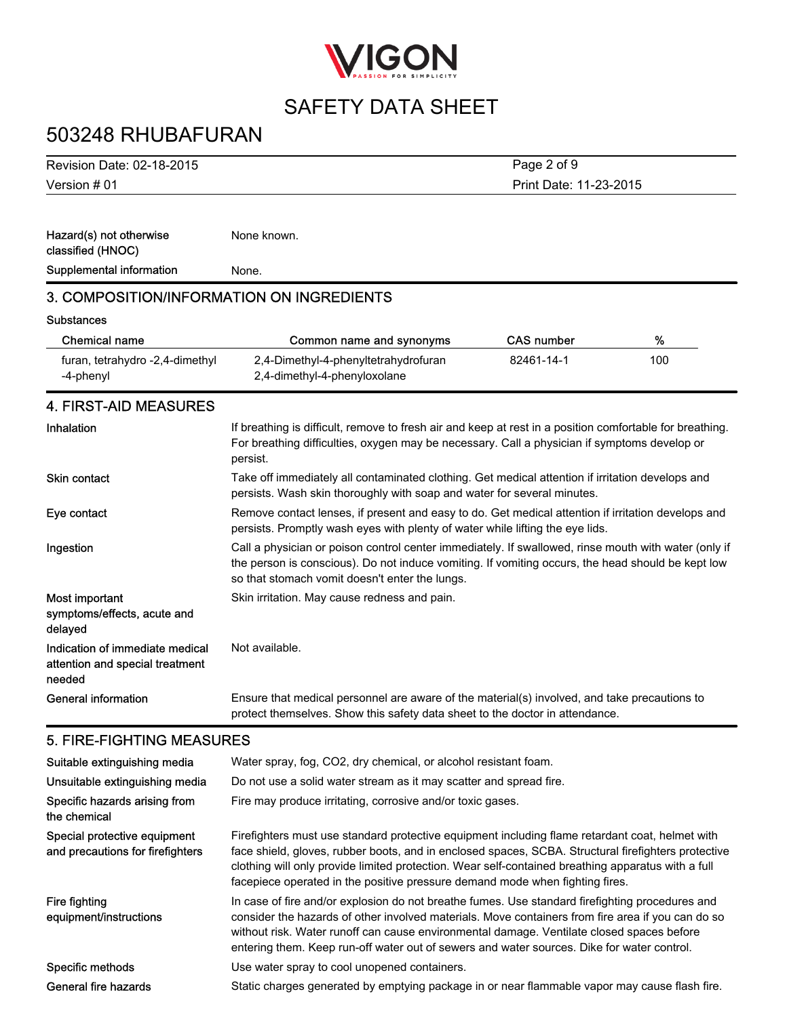

Print Date: 11-23-2015

Page 2 of 9

## 503248 RHUBAFURAN

Version # 01 Revision Date: 02-18-2015

Hazard(s) not otherwise classified (HNOC) None known. Supplemental information Mone.

### 3. COMPOSITION/INFORMATION ON INGREDIENTS

#### **Substances**

| Chemical name                                | Common name and synonyms                                             | CAS number | %   |
|----------------------------------------------|----------------------------------------------------------------------|------------|-----|
| furan, tetrahydro -2,4-dimethyl<br>-4-phenyl | 2,4-Dimethyl-4-phenyltetrahydrofuran<br>2,4-dimethyl-4-phenyloxolane | 82461-14-1 | 100 |

### 4. FIRST-AID MEASURES

| Inhalation                                                                   | If breathing is difficult, remove to fresh air and keep at rest in a position comfortable for breathing.<br>For breathing difficulties, oxygen may be necessary. Call a physician if symptoms develop or<br>persist.                                        |
|------------------------------------------------------------------------------|-------------------------------------------------------------------------------------------------------------------------------------------------------------------------------------------------------------------------------------------------------------|
| <b>Skin contact</b>                                                          | Take off immediately all contaminated clothing. Get medical attention if irritation develops and<br>persists. Wash skin thoroughly with soap and water for several minutes.                                                                                 |
| Eye contact                                                                  | Remove contact lenses, if present and easy to do. Get medical attention if irritation develops and<br>persists. Promptly wash eyes with plenty of water while lifting the eye lids.                                                                         |
| Ingestion                                                                    | Call a physician or poison control center immediately. If swallowed, rinse mouth with water (only if<br>the person is conscious). Do not induce vomiting. If vomiting occurs, the head should be kept low<br>so that stomach vomit doesn't enter the lungs. |
| Most important<br>symptoms/effects, acute and<br>delayed                     | Skin irritation. May cause redness and pain.                                                                                                                                                                                                                |
| Indication of immediate medical<br>attention and special treatment<br>needed | Not available.                                                                                                                                                                                                                                              |
| General information                                                          | Ensure that medical personnel are aware of the material(s) involved, and take precautions to<br>protect themselves. Show this safety data sheet to the doctor in attendance.                                                                                |

#### 5. FIRE-FIGHTING MEASURES

| Suitable extinguishing media                                     | Water spray, fog, CO2, dry chemical, or alcohol resistant foam.                                                                                                                                                                                                                                                                                                                                 |
|------------------------------------------------------------------|-------------------------------------------------------------------------------------------------------------------------------------------------------------------------------------------------------------------------------------------------------------------------------------------------------------------------------------------------------------------------------------------------|
| Unsuitable extinguishing media                                   | Do not use a solid water stream as it may scatter and spread fire.                                                                                                                                                                                                                                                                                                                              |
| Specific hazards arising from<br>the chemical                    | Fire may produce irritating, corrosive and/or toxic gases.                                                                                                                                                                                                                                                                                                                                      |
| Special protective equipment<br>and precautions for firefighters | Firefighters must use standard protective equipment including flame retardant coat, helmet with<br>face shield, gloves, rubber boots, and in enclosed spaces, SCBA. Structural firefighters protective<br>clothing will only provide limited protection. Wear self-contained breathing apparatus with a full<br>facepiece operated in the positive pressure demand mode when fighting fires.    |
| Fire fighting<br>equipment/instructions                          | In case of fire and/or explosion do not breathe fumes. Use standard firefighting procedures and<br>consider the hazards of other involved materials. Move containers from fire area if you can do so<br>without risk. Water runoff can cause environmental damage. Ventilate closed spaces before<br>entering them. Keep run-off water out of sewers and water sources. Dike for water control. |
| Specific methods                                                 | Use water spray to cool unopened containers.                                                                                                                                                                                                                                                                                                                                                    |
| General fire hazards                                             | Static charges generated by emptying package in or near flammable vapor may cause flash fire.                                                                                                                                                                                                                                                                                                   |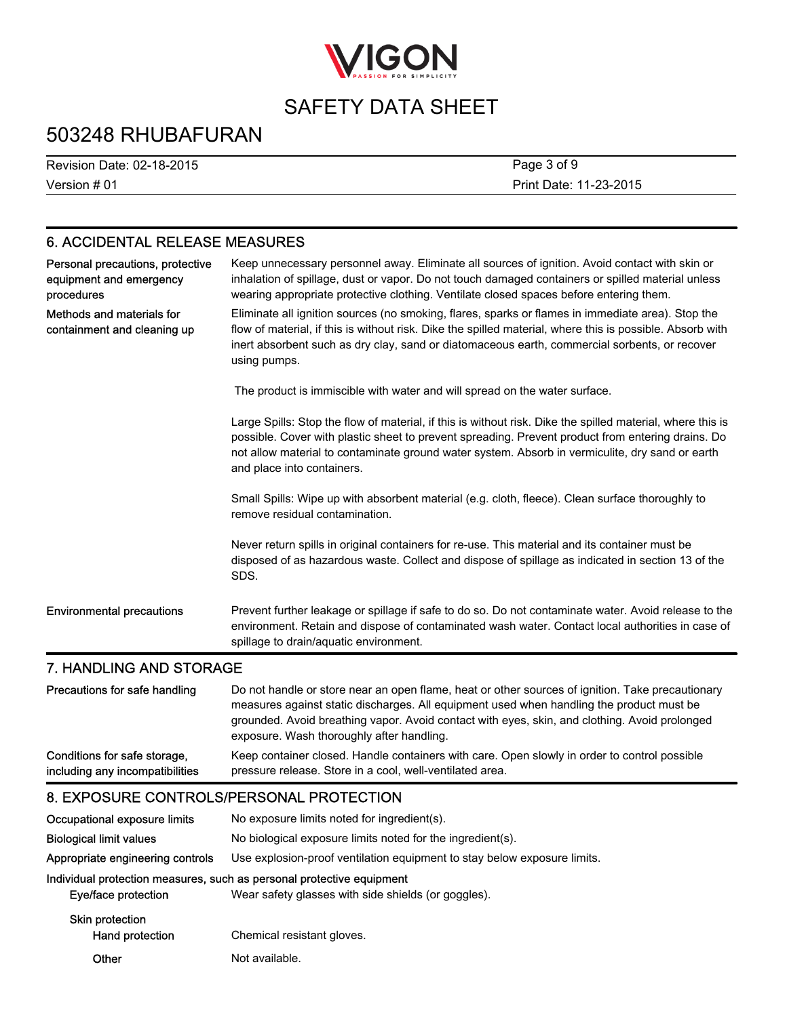

## 503248 RHUBAFURAN

Version # 01 Revision Date: 02-18-2015 Print Date: 11-23-2015 Page 3 of 9

### 6. ACCIDENTAL RELEASE MEASURES

| Personal precautions, protective<br>equipment and emergency<br>procedures | Keep unnecessary personnel away. Eliminate all sources of ignition. Avoid contact with skin or<br>inhalation of spillage, dust or vapor. Do not touch damaged containers or spilled material unless<br>wearing appropriate protective clothing. Ventilate closed spaces before entering them.                                                    |
|---------------------------------------------------------------------------|--------------------------------------------------------------------------------------------------------------------------------------------------------------------------------------------------------------------------------------------------------------------------------------------------------------------------------------------------|
| Methods and materials for<br>containment and cleaning up                  | Eliminate all ignition sources (no smoking, flares, sparks or flames in immediate area). Stop the<br>flow of material, if this is without risk. Dike the spilled material, where this is possible. Absorb with<br>inert absorbent such as dry clay, sand or diatomaceous earth, commercial sorbents, or recover<br>using pumps.                  |
|                                                                           | The product is immiscible with water and will spread on the water surface.                                                                                                                                                                                                                                                                       |
|                                                                           | Large Spills: Stop the flow of material, if this is without risk. Dike the spilled material, where this is<br>possible. Cover with plastic sheet to prevent spreading. Prevent product from entering drains. Do<br>not allow material to contaminate ground water system. Absorb in vermiculite, dry sand or earth<br>and place into containers. |
|                                                                           | Small Spills: Wipe up with absorbent material (e.g. cloth, fleece). Clean surface thoroughly to<br>remove residual contamination.                                                                                                                                                                                                                |
|                                                                           | Never return spills in original containers for re-use. This material and its container must be<br>disposed of as hazardous waste. Collect and dispose of spillage as indicated in section 13 of the<br>SDS.                                                                                                                                      |
| <b>Environmental precautions</b>                                          | Prevent further leakage or spillage if safe to do so. Do not contaminate water. Avoid release to the<br>environment. Retain and dispose of contaminated wash water. Contact local authorities in case of<br>spillage to drain/aquatic environment.                                                                                               |

### 7. HANDLING AND STORAGE

| Precautions for safe handling   | Do not handle or store near an open flame, heat or other sources of ignition. Take precautionary<br>measures against static discharges. All equipment used when handling the product must be<br>grounded. Avoid breathing vapor. Avoid contact with eyes, skin, and clothing. Avoid prolonged<br>exposure. Wash thoroughly after handling. |
|---------------------------------|--------------------------------------------------------------------------------------------------------------------------------------------------------------------------------------------------------------------------------------------------------------------------------------------------------------------------------------------|
| Conditions for safe storage,    | Keep container closed. Handle containers with care. Open slowly in order to control possible                                                                                                                                                                                                                                               |
| including any incompatibilities | pressure release. Store in a cool, well-ventilated area.                                                                                                                                                                                                                                                                                   |

#### 8. EXPOSURE CONTROLS/PERSONAL PROTECTION

| Occupational exposure limits              | No exposure limits noted for ingredient(s).                                                                                  |  |
|-------------------------------------------|------------------------------------------------------------------------------------------------------------------------------|--|
| <b>Biological limit values</b>            | No biological exposure limits noted for the ingredient(s).                                                                   |  |
| Appropriate engineering controls          | Use explosion-proof ventilation equipment to stay below exposure limits.                                                     |  |
| Eye/face protection                       | Individual protection measures, such as personal protective equipment<br>Wear safety glasses with side shields (or goggles). |  |
| <b>Skin protection</b><br>Hand protection | Chemical resistant gloves.                                                                                                   |  |
| Other                                     | Not available.                                                                                                               |  |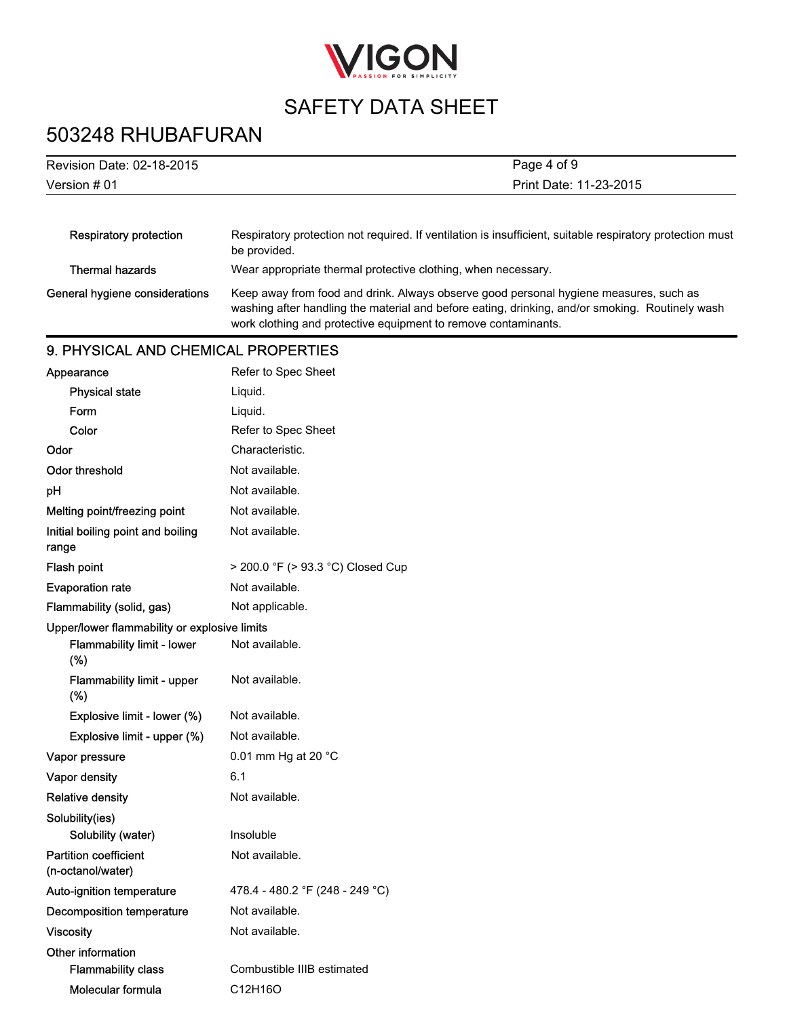

# 503248 RHUBAFURAN

| Page 4 of 9<br>Revision Date: 02-18-2015 |                                                                                                                                                                                                                                                            |  |
|------------------------------------------|------------------------------------------------------------------------------------------------------------------------------------------------------------------------------------------------------------------------------------------------------------|--|
| Version $#01$                            | Print Date: 11-23-2015                                                                                                                                                                                                                                     |  |
|                                          |                                                                                                                                                                                                                                                            |  |
| <b>Respiratory protection</b>            | Respiratory protection not required. If ventilation is insufficient, suitable respiratory protection must<br>be provided.                                                                                                                                  |  |
| <b>Thermal hazards</b>                   | Wear appropriate thermal protective clothing, when necessary.                                                                                                                                                                                              |  |
| General hygiene considerations           | Keep away from food and drink. Always observe good personal hygiene measures, such as<br>washing after handling the material and before eating, drinking, and/or smoking. Routinely wash<br>work clothing and protective equipment to remove contaminants. |  |
| 9. PHYSICAL AND CHEMICAL PROPERTIES      |                                                                                                                                                                                                                                                            |  |
| Appearance                               | Refer to Spec Sheet                                                                                                                                                                                                                                        |  |
| <b>Physical state</b>                    | Liguid.                                                                                                                                                                                                                                                    |  |

| Form                                              | Liquid.                           |
|---------------------------------------------------|-----------------------------------|
| Color                                             | Refer to Spec Sheet               |
| Odor                                              | Characteristic.                   |
| Odor threshold                                    | Not available.                    |
| pH                                                | Not available.                    |
| Melting point/freezing point                      | Not available.                    |
| Initial boiling point and boiling<br>range        | Not available.                    |
| Flash point                                       | > 200.0 °F (> 93.3 °C) Closed Cup |
| <b>Evaporation rate</b>                           | Not available.                    |
| Flammability (solid, gas)                         | Not applicable.                   |
| Upper/lower flammability or explosive limits      |                                   |
| Flammability limit - lower<br>(%)                 | Not available.                    |
| Flammability limit - upper<br>(%)                 | Not available.                    |
| Explosive limit - lower (%)                       | Not available.                    |
| Explosive limit - upper (%)                       | Not available.                    |
| Vapor pressure                                    | 0.01 mm Hg at 20 °C               |
| Vapor density                                     | 6.1                               |
| <b>Relative density</b>                           | Not available.                    |
| Solubility(ies)                                   |                                   |
| Solubility (water)                                | Insoluble                         |
| <b>Partition coefficient</b><br>(n-octanol/water) | Not available.                    |
| Auto-ignition temperature                         | 478.4 - 480.2 °F (248 - 249 °C)   |
| <b>Decomposition temperature</b>                  | Not available.                    |
| <b>Viscosity</b>                                  | Not available.                    |
| Other information                                 |                                   |
| <b>Flammability class</b>                         | Combustible IIIB estimated        |
| Molecular formula                                 | C12H16O                           |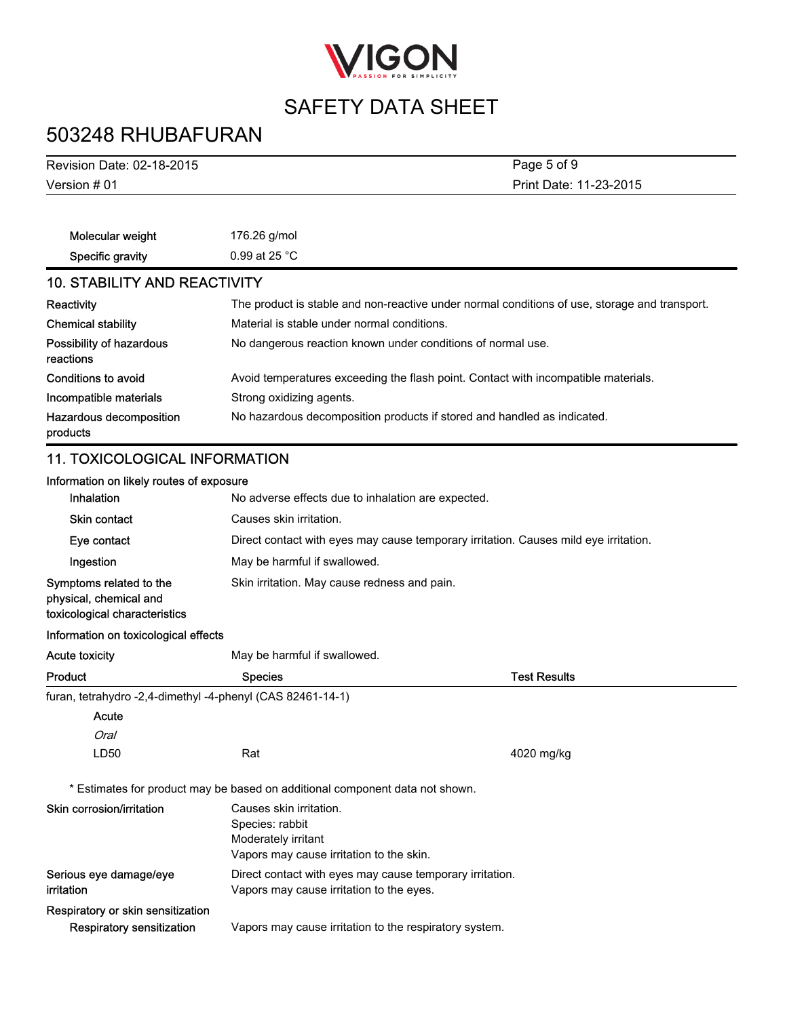

# 503248 RHUBAFURAN

| Revision Date: 02-18-2015                                                          |                                                                                                               | Page 5 of 9         |
|------------------------------------------------------------------------------------|---------------------------------------------------------------------------------------------------------------|---------------------|
| Version # 01                                                                       | Print Date: 11-23-2015                                                                                        |                     |
|                                                                                    |                                                                                                               |                     |
| Molecular weight                                                                   | 176.26 g/mol                                                                                                  |                     |
| Specific gravity                                                                   | 0.99 at 25 °C                                                                                                 |                     |
| <b>10. STABILITY AND REACTIVITY</b>                                                |                                                                                                               |                     |
| Reactivity                                                                         | The product is stable and non-reactive under normal conditions of use, storage and transport.                 |                     |
| <b>Chemical stability</b>                                                          | Material is stable under normal conditions.                                                                   |                     |
| Possibility of hazardous<br>reactions                                              | No dangerous reaction known under conditions of normal use.                                                   |                     |
| <b>Conditions to avoid</b>                                                         | Avoid temperatures exceeding the flash point. Contact with incompatible materials.                            |                     |
| Incompatible materials                                                             | Strong oxidizing agents.                                                                                      |                     |
| Hazardous decomposition<br>products                                                | No hazardous decomposition products if stored and handled as indicated.                                       |                     |
| <b>11. TOXICOLOGICAL INFORMATION</b>                                               |                                                                                                               |                     |
| Information on likely routes of exposure                                           |                                                                                                               |                     |
| Inhalation                                                                         | No adverse effects due to inhalation are expected.                                                            |                     |
| <b>Skin contact</b>                                                                | Causes skin irritation.                                                                                       |                     |
| Eye contact                                                                        | Direct contact with eyes may cause temporary irritation. Causes mild eye irritation.                          |                     |
| Ingestion                                                                          | May be harmful if swallowed.                                                                                  |                     |
| Symptoms related to the<br>physical, chemical and<br>toxicological characteristics | Skin irritation. May cause redness and pain.                                                                  |                     |
| Information on toxicological effects                                               |                                                                                                               |                     |
| <b>Acute toxicity</b>                                                              | May be harmful if swallowed.                                                                                  |                     |
| Product                                                                            | <b>Species</b>                                                                                                | <b>Test Results</b> |
| furan, tetrahydro -2,4-dimethyl -4-phenyl (CAS 82461-14-1)                         |                                                                                                               |                     |
| Acute                                                                              |                                                                                                               |                     |
| Oral                                                                               |                                                                                                               |                     |
| LD50                                                                               | Rat                                                                                                           | 4020 mg/kg          |
|                                                                                    | * Estimates for product may be based on additional component data not shown.                                  |                     |
| Skin corrosion/irritation                                                          | Causes skin irritation.<br>Species: rabbit<br>Moderately irritant<br>Vapors may cause irritation to the skin. |                     |
| Serious eye damage/eye<br>irritation                                               | Direct contact with eyes may cause temporary irritation.<br>Vapors may cause irritation to the eyes.          |                     |
| Respiratory or skin sensitization                                                  |                                                                                                               |                     |
| <b>Respiratory sensitization</b>                                                   | Vapors may cause irritation to the respiratory system.                                                        |                     |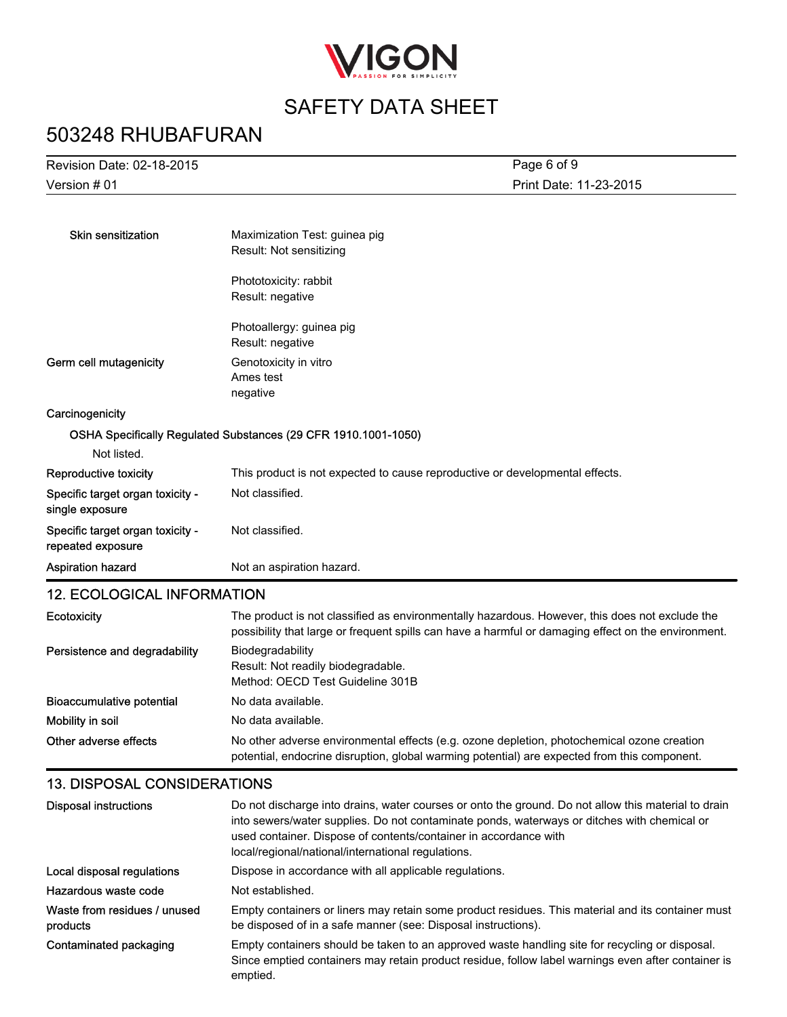

## 503248 RHUBAFURAN

| Revision Date: 02-18-2015                             | Page 6 of 9                                                                                                                                                                                           |  |
|-------------------------------------------------------|-------------------------------------------------------------------------------------------------------------------------------------------------------------------------------------------------------|--|
| Version # 01                                          | Print Date: 11-23-2015                                                                                                                                                                                |  |
|                                                       |                                                                                                                                                                                                       |  |
| <b>Skin sensitization</b>                             | Maximization Test: guinea pig                                                                                                                                                                         |  |
|                                                       | Result: Not sensitizing                                                                                                                                                                               |  |
|                                                       | Phototoxicity: rabbit                                                                                                                                                                                 |  |
|                                                       | Result: negative                                                                                                                                                                                      |  |
|                                                       | Photoallergy: guinea pig                                                                                                                                                                              |  |
|                                                       | Result: negative                                                                                                                                                                                      |  |
| Germ cell mutagenicity                                | Genotoxicity in vitro                                                                                                                                                                                 |  |
|                                                       | Ames test                                                                                                                                                                                             |  |
|                                                       | negative                                                                                                                                                                                              |  |
| Carcinogenicity                                       |                                                                                                                                                                                                       |  |
|                                                       | OSHA Specifically Regulated Substances (29 CFR 1910.1001-1050)                                                                                                                                        |  |
| Not listed.                                           |                                                                                                                                                                                                       |  |
| Reproductive toxicity                                 | This product is not expected to cause reproductive or developmental effects.                                                                                                                          |  |
| Specific target organ toxicity -<br>single exposure   | Not classified.                                                                                                                                                                                       |  |
| Specific target organ toxicity -<br>repeated exposure | Not classified.                                                                                                                                                                                       |  |
| Aspiration hazard                                     | Not an aspiration hazard.                                                                                                                                                                             |  |
| <b>12. ECOLOGICAL INFORMATION</b>                     |                                                                                                                                                                                                       |  |
| Ecotoxicity                                           | The product is not classified as environmentally hazardous. However, this does not exclude the<br>possibility that large or frequent spills can have a harmful or damaging effect on the environment. |  |
| Persistence and degradability                         | Biodegradability<br>Result: Not readily biodegradable.<br>Method: OECD Test Guideline 301B                                                                                                            |  |
| <b>Bioaccumulative potential</b>                      | No data available.                                                                                                                                                                                    |  |
| Mobility in soil                                      | No data available.                                                                                                                                                                                    |  |
| Other adverse effects                                 | No other adverse environmental effects (e.g. ozone depletion, photochemical ozone creation                                                                                                            |  |

### 13. DISPOSAL CONSIDERATIONS

| Disposal instructions                    | Do not discharge into drains, water courses or onto the ground. Do not allow this material to drain<br>into sewers/water supplies. Do not contaminate ponds, waterways or ditches with chemical or<br>used container. Dispose of contents/container in accordance with<br>local/regional/national/international regulations. |
|------------------------------------------|------------------------------------------------------------------------------------------------------------------------------------------------------------------------------------------------------------------------------------------------------------------------------------------------------------------------------|
| Local disposal regulations               | Dispose in accordance with all applicable regulations.                                                                                                                                                                                                                                                                       |
| Hazardous waste code                     | Not established.                                                                                                                                                                                                                                                                                                             |
| Waste from residues / unused<br>products | Empty containers or liners may retain some product residues. This material and its container must<br>be disposed of in a safe manner (see: Disposal instructions).                                                                                                                                                           |
| Contaminated packaging                   | Empty containers should be taken to an approved waste handling site for recycling or disposal.<br>Since emptied containers may retain product residue, follow label warnings even after container is<br>emptied.                                                                                                             |

potential, endocrine disruption, global warming potential) are expected from this component.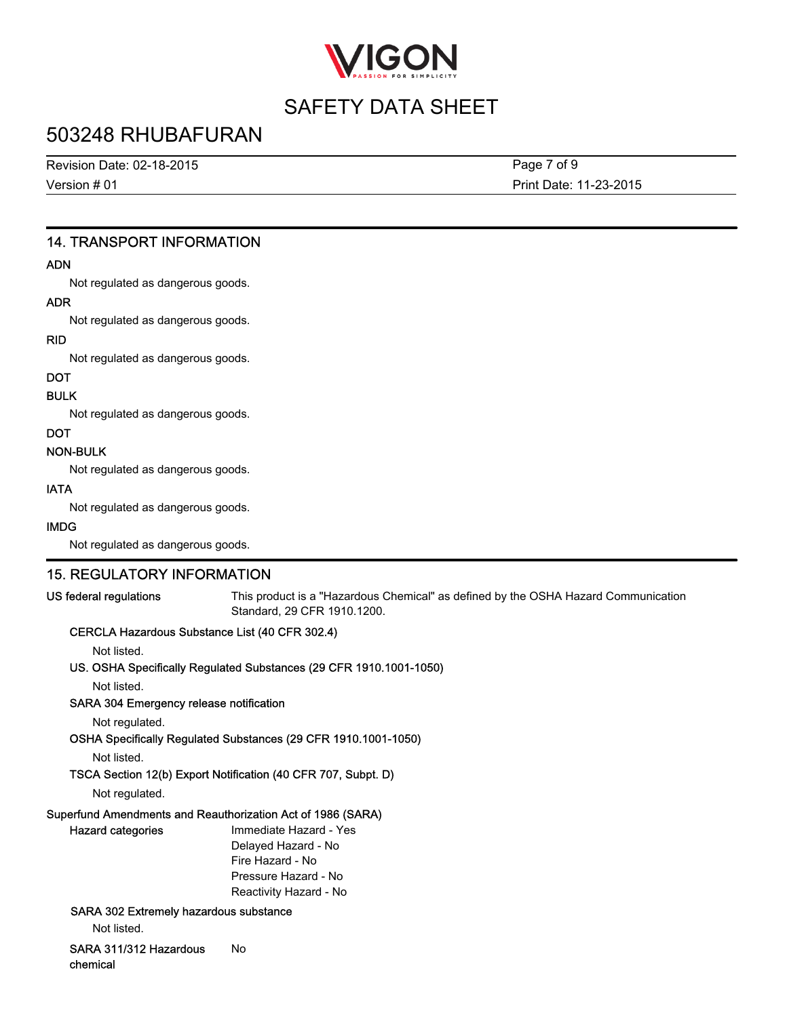

### 503248 RHUBAFURAN

Revision Date: 02-18-2015

Version # 01

Print Date: 11-23-2015 Page 7 of 9

#### 14. TRANSPORT INFORMATION

#### ADN

Not regulated as dangerous goods.

#### ADR

Not regulated as dangerous goods.

#### RID

Not regulated as dangerous goods.

### **DOT**

BULK

Not regulated as dangerous goods.

#### **DOT**

#### NON-BULK

Not regulated as dangerous goods.

#### IATA

Not regulated as dangerous goods.

#### IMDG

Not regulated as dangerous goods.

#### 15. REGULATORY INFORMATION

US federal regulations This product is a "Hazardous Chemical" as defined by the OSHA Hazard Communication Standard, 29 CFR 1910.1200.

#### CERCLA Hazardous Substance List (40 CFR 302.4)

Not listed.

US. OSHA Specifically Regulated Substances (29 CFR 1910.1001-1050)

Not listed.

#### SARA 304 Emergency release notification

Not regulated.

OSHA Specifically Regulated Substances (29 CFR 1910.1001-1050)

Not listed.

#### TSCA Section 12(b) Export Notification (40 CFR 707, Subpt. D)

Not regulated.

#### Superfund Amendments and Reauthorization Act of 1986 (SARA)

| <b>Hazard categories</b>               | Immediate Hazard - Yes |
|----------------------------------------|------------------------|
|                                        | Delayed Hazard - No    |
|                                        | Fire Hazard - No       |
|                                        | Pressure Hazard - No   |
|                                        | Reactivity Hazard - No |
| SARA 302 Extremely hazardous substance |                        |

Not listed.

SARA 311/312 Hazardous chemical No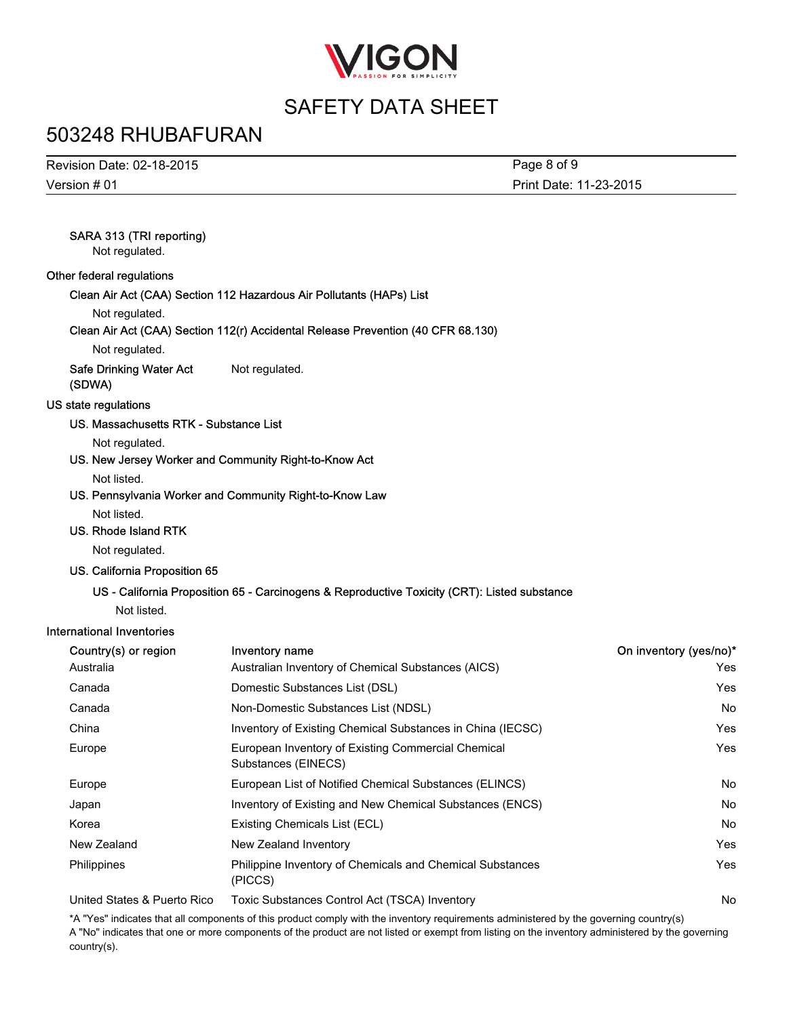

### 503248 RHUBAFURAN

| Revision Date: 02-18-2015 | Page 8 of 9            |
|---------------------------|------------------------|
| Version # 01              | Print Date: 11-23-2015 |

#### SARA 313 (TRI reporting)

Not regulated.

#### Other federal regulations

Clean Air Act (CAA) Section 112 Hazardous Air Pollutants (HAPs) List

Not regulated.

#### Clean Air Act (CAA) Section 112(r) Accidental Release Prevention (40 CFR 68.130)

Not regulated.

Safe Drinking Water Act (SDWA) Not regulated.

#### US state regulations

#### US. Massachusetts RTK - Substance List

Not regulated.

US. New Jersey Worker and Community Right-to-Know Act

Not listed.

US. Pennsylvania Worker and Community Right-to-Know Law

Not listed.

#### US. Rhode Island RTK

Not regulated.

#### US. California Proposition 65

#### US - California Proposition 65 - Carcinogens & Reproductive Toxicity (CRT): Listed substance

Not listed.

#### International Inventories

| Country(s) or region        | Inventory name                                                              | On inventory (yes/no)* |
|-----------------------------|-----------------------------------------------------------------------------|------------------------|
| Australia                   | Australian Inventory of Chemical Substances (AICS)                          | Yes                    |
| Canada                      | Domestic Substances List (DSL)                                              | Yes                    |
| Canada                      | Non-Domestic Substances List (NDSL)                                         | No.                    |
| China                       | Inventory of Existing Chemical Substances in China (IECSC)                  | Yes                    |
| Europe                      | European Inventory of Existing Commercial Chemical<br>Substances (EINECS)   | Yes                    |
| Europe                      | European List of Notified Chemical Substances (ELINCS)                      | No.                    |
| Japan                       | Inventory of Existing and New Chemical Substances (ENCS)                    | No.                    |
| Korea                       | Existing Chemicals List (ECL)                                               | No.                    |
| New Zealand                 | New Zealand Inventory                                                       | Yes                    |
| Philippines                 | <b>Philippine Inventory of Chemicals and Chemical Substances</b><br>(PICCS) | Yes                    |
| United States & Puerto Rico | Toxic Substances Control Act (TSCA) Inventory                               | No                     |

\*A "Yes" indicates that all components of this product comply with the inventory requirements administered by the governing country(s) A "No" indicates that one or more components of the product are not listed or exempt from listing on the inventory administered by the governing country(s).